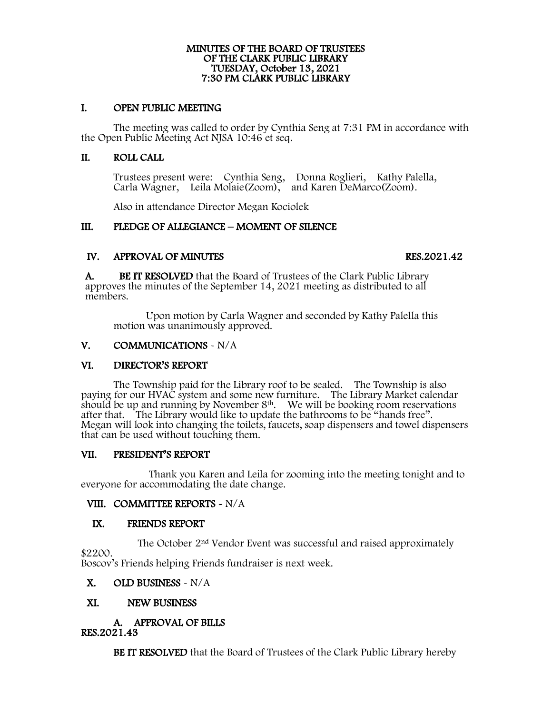# MINUTES OF THE BOARD OF TRUSTEES OF THE CLARK PUBLIC LIBRARY TUESDAY, October 13, 2021 7:30 PM CLARK PUBLIC LIBRARY

### I. OPEN PUBLIC MEETING

The meeting was called to order by Cynthia Seng at 7:31 PM in accordance with the Open Public Meeting Act NJSA 10:46 et seq.

### II. ROLL CALL

Trustees present were: Cynthia Seng, Donna Roglieri, Kathy Palella, Carla Wagner, Leila Molaie(Zoom), and Karen DeMarco(Zoom).

Also in attendance Director Megan Kociolek

### III. PLEDGE OF ALLEGIANCE – MOMENT OF SILENCE

IV. APPROVAL OF MINUTES RES.2021.42<br>
A. BE IT RESOLVED that the Board of Trustees of the Clark Public Library approves the minutes of the September 14, 2021 meeting as distributed to all members.

Upon motion by Carla Wagner and seconded by Kathy Palella this motion was unanimously approved.

### V. COMMUNICATIONS - N/A

## VI. DIRECTOR'S REPORT

 The Township paid for the Library roof to be sealed. The Township is also paying for our HVAC system and some new furniture. The Library Market calendar should be up and running by November  $8<sup>th</sup>$ . We will be booking room reservations after that. The Library would like to update the bathrooms to be "hands free".<br>Megan will look into changing the toilets, faucets, soap dispensers and towel dispensers that can be used without touching them.

#### VII. PRESIDENT'S REPORT

 Thank you Karen and Leila for zooming into the meeting tonight and to everyone for accommodating the date change.

## VIII. COMMITTEE REPORTS ~ N/A<br>IX. FRIENDS REPORT

#### FRIENDS REPORT

The October 2<sup>nd</sup> Vendor Event was successful and raised approximately \$2200.

Boscov's Friends helping Friends fundraiser is next week.<br>X. OLD BUSINESS ~ N/A

## X. OLD BUSINESS - N/A

## **NEW BUSINESS**

A. APPROVAL OF BILLS<br>RES.2021.43

BE IT RESOLVED that the Board of Trustees of the Clark Public Library hereby